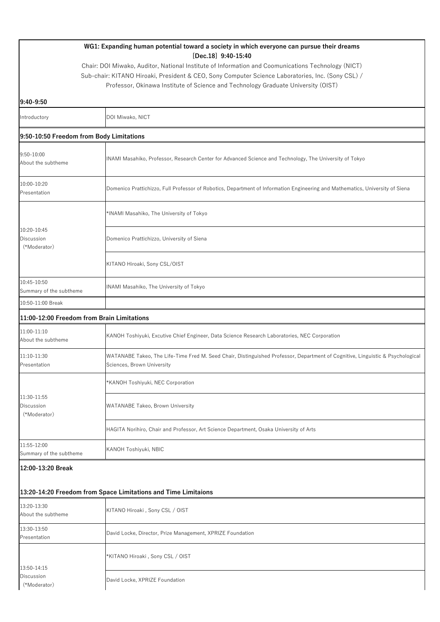| WG1: Expanding human potential toward a society in which everyone can pursue their dreams |                                                                                                                                                              |  |
|-------------------------------------------------------------------------------------------|--------------------------------------------------------------------------------------------------------------------------------------------------------------|--|
|                                                                                           | $[Dec.18]$ 9:40-15:40<br>Chair: DOI Miwako, Auditor, National Institute of Information and Coomunications Technology (NICT)                                  |  |
|                                                                                           | Sub-chair: KITANO Hiroaki, President & CEO, Sony Computer Science Laboratories, Inc. (Sony CSL) /                                                            |  |
|                                                                                           | Professor, Okinawa Institute of Science and Technology Graduate University (OIST)                                                                            |  |
| 9:40-9:50                                                                                 |                                                                                                                                                              |  |
| Introductory                                                                              | DOI Miwako, NICT                                                                                                                                             |  |
| 9:50-10:50 Freedom from Body Limitations                                                  |                                                                                                                                                              |  |
| 9:50-10:00                                                                                |                                                                                                                                                              |  |
| About the subtheme                                                                        | INAMI Masahiko, Professor, Research Center for Advanced Science and Technology, The University of Tokyo                                                      |  |
| 10:00-10:20<br>Presentation                                                               | Domenico Prattichizzo, Full Professor of Robotics, Department of Information Engineering and Mathematics, University of Siena                                |  |
|                                                                                           |                                                                                                                                                              |  |
|                                                                                           | *INAMI Masahiko, The University of Tokyo                                                                                                                     |  |
| 10:20-10:45<br>Discussion                                                                 | Domenico Prattichizzo, University of Siena                                                                                                                   |  |
| (*Moderator)                                                                              |                                                                                                                                                              |  |
|                                                                                           | KITANO Hiroaki, Sony CSL/OIST                                                                                                                                |  |
| 10:45-10:50<br>Summary of the subtheme                                                    | INAMI Masahiko, The University of Tokyo                                                                                                                      |  |
| 10:50-11:00 Break                                                                         |                                                                                                                                                              |  |
| 11:00-12:00 Freedom from Brain Limitations                                                |                                                                                                                                                              |  |
| 11:00-11:10<br>About the subtheme                                                         | KANOH Toshiyuki, Excutive Chief Engineer, Data Science Research Laboratories, NEC Corporation                                                                |  |
| 11:10-11:30<br>Presentation                                                               | WATANABE Takeo, The Life-Time Fred M. Seed Chair, Distinguished Professor, Department of Cognitive, Linguistic & Psychological<br>Sciences, Brown University |  |
|                                                                                           | *KANOH Toshiyuki, NEC Corporation                                                                                                                            |  |
| 11:30-11:55                                                                               |                                                                                                                                                              |  |
| Discussion<br>(*Moderator)                                                                | <b>WATANABE Takeo, Brown University</b>                                                                                                                      |  |
|                                                                                           | HAGITA Norihiro, Chair and Professor, Art Science Department, Osaka University of Arts                                                                       |  |
| 11:55-12:00<br>Summary of the subtheme                                                    | KANOH Toshiyuki, NBIC                                                                                                                                        |  |
| 12:00-13:20 Break                                                                         |                                                                                                                                                              |  |
| 13:20-14:20 Freedom from Space Limitations and Time Limitaions                            |                                                                                                                                                              |  |
| 13:20-13:30<br>About the subtheme                                                         | KITANO Hiroaki, Sony CSL / OIST                                                                                                                              |  |
| 13:30-13:50<br>Presentation                                                               | David Locke, Director, Prize Management, XPRIZE Foundation                                                                                                   |  |
|                                                                                           |                                                                                                                                                              |  |
|                                                                                           | *KITANO Hiroaki , Sony CSL / OIST                                                                                                                            |  |
| 13:50-14:15<br>Discussion<br>(*Moderator)                                                 | David Locke, XPRIZE Foundation                                                                                                                               |  |